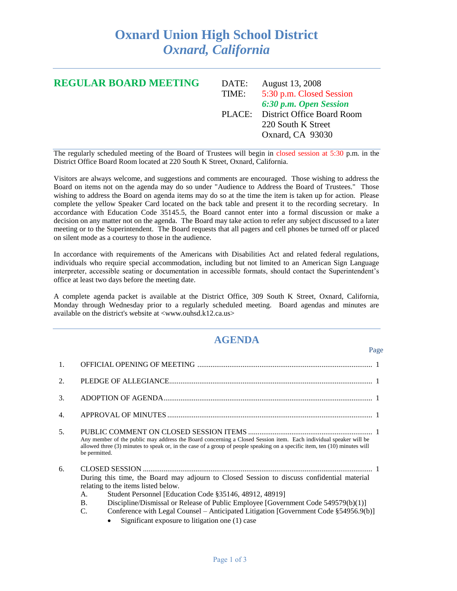## **Oxnard Union High School District** *Oxnard, California*

| <b>REGULAR BOARD MEETING</b> | DATE: | August 13, 2008                   |
|------------------------------|-------|-----------------------------------|
|                              | TIME: | 5:30 p.m. Closed Session          |
|                              |       | 6:30 p.m. Open Session            |
|                              |       | PLACE: District Office Board Room |
|                              |       | 220 South K Street                |
|                              |       | Oxnard, CA 93030                  |
|                              |       |                                   |

The regularly scheduled meeting of the Board of Trustees will begin in closed session at 5:30 p.m. in the District Office Board Room located at 220 South K Street, Oxnard, California.

Visitors are always welcome, and suggestions and comments are encouraged. Those wishing to address the Board on items not on the agenda may do so under "Audience to Address the Board of Trustees." Those wishing to address the Board on agenda items may do so at the time the item is taken up for action. Please complete the yellow Speaker Card located on the back table and present it to the recording secretary. In accordance with Education Code 35145.5, the Board cannot enter into a formal discussion or make a decision on any matter not on the agenda. The Board may take action to refer any subject discussed to a later meeting or to the Superintendent. The Board requests that all pagers and cell phones be turned off or placed on silent mode as a courtesy to those in the audience.

In accordance with requirements of the Americans with Disabilities Act and related federal regulations, individuals who require special accommodation, including but not limited to an American Sign Language interpreter, accessible seating or documentation in accessible formats, should contact the Superintendent's office at least two days before the meeting date.

A complete agenda packet is available at the District Office, 309 South K Street, Oxnard, California, Monday through Wednesday prior to a regularly scheduled meeting. Board agendas and minutes are available on the district's website at <www.ouhsd.k12.ca.us>

## **AGENDA**

Page

| 1.               |                                                                                                                                                                                                                                                                                                                                                                                                                                                       |  |
|------------------|-------------------------------------------------------------------------------------------------------------------------------------------------------------------------------------------------------------------------------------------------------------------------------------------------------------------------------------------------------------------------------------------------------------------------------------------------------|--|
| 2.               |                                                                                                                                                                                                                                                                                                                                                                                                                                                       |  |
| 3.               |                                                                                                                                                                                                                                                                                                                                                                                                                                                       |  |
| $\overline{4}$ . |                                                                                                                                                                                                                                                                                                                                                                                                                                                       |  |
| 5.               | Any member of the public may address the Board concerning a Closed Session item. Each individual speaker will be<br>allowed three (3) minutes to speak or, in the case of a group of people speaking on a specific item, ten (10) minutes will<br>be permitted.                                                                                                                                                                                       |  |
| 6.               | During this time, the Board may adjourn to Closed Session to discuss confidential material<br>relating to the items listed below.<br>А.<br>Student Personnel [Education Code §35146, 48912, 48919]<br>Discipline/Dismissal or Release of Public Employee [Government Code 549579(b)(1)]<br><b>B.</b><br>Conference with Legal Counsel - Anticipated Litigation [Government Code §54956.9(b)]<br>C.<br>Significant exposure to litigation one (1) case |  |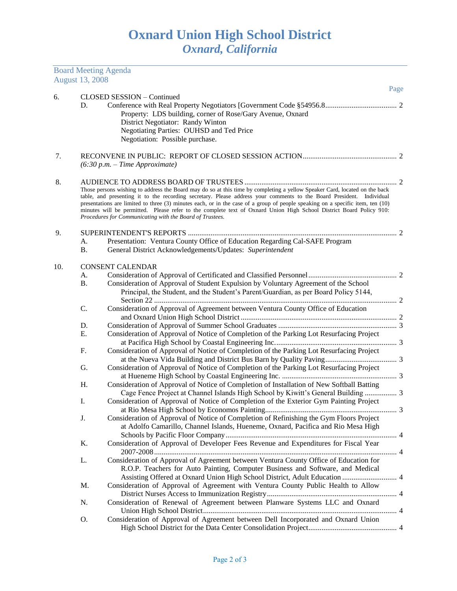Board Meeting Agenda

|     | <b>August 13, 2008</b> |                                                                                                                                                                                                                                                        |   |
|-----|------------------------|--------------------------------------------------------------------------------------------------------------------------------------------------------------------------------------------------------------------------------------------------------|---|
| 6.  |                        | Page<br><b>CLOSED SESSION - Continued</b>                                                                                                                                                                                                              |   |
|     | D.                     |                                                                                                                                                                                                                                                        |   |
|     |                        | Property: LDS building, corner of Rose/Gary Avenue, Oxnard                                                                                                                                                                                             |   |
|     |                        | District Negotiator: Randy Winton                                                                                                                                                                                                                      |   |
|     |                        | Negotiating Parties: OUHSD and Ted Price                                                                                                                                                                                                               |   |
|     |                        | Negotiation: Possible purchase.                                                                                                                                                                                                                        |   |
|     |                        |                                                                                                                                                                                                                                                        |   |
| 7.  |                        | $(6:30 p.m. - Time Approximate)$                                                                                                                                                                                                                       |   |
|     |                        |                                                                                                                                                                                                                                                        |   |
| 8.  |                        |                                                                                                                                                                                                                                                        |   |
|     |                        | Those persons wishing to address the Board may do so at this time by completing a yellow Speaker Card, located on the back                                                                                                                             |   |
|     |                        | table, and presenting it to the recording secretary. Please address your comments to the Board President. Individual<br>presentations are limited to three (3) minutes each, or in the case of a group of people speaking on a specific item, ten (10) |   |
|     |                        | minutes will be permitted. Please refer to the complete text of Oxnard Union High School District Board Policy 910:                                                                                                                                    |   |
|     |                        | Procedures for Communicating with the Board of Trustees.                                                                                                                                                                                               |   |
| 9.  |                        |                                                                                                                                                                                                                                                        |   |
|     | A.                     | Presentation: Ventura County Office of Education Regarding Cal-SAFE Program                                                                                                                                                                            |   |
|     | <b>B.</b>              | General District Acknowledgements/Updates: Superintendent                                                                                                                                                                                              |   |
|     |                        |                                                                                                                                                                                                                                                        |   |
| 10. |                        | <b>CONSENT CALENDAR</b>                                                                                                                                                                                                                                |   |
|     | А.<br><b>B.</b>        |                                                                                                                                                                                                                                                        |   |
|     |                        | Consideration of Approval of Student Expulsion by Voluntary Agreement of the School<br>Principal, the Student, and the Student's Parent/Guardian, as per Board Policy 5144,                                                                            |   |
|     |                        |                                                                                                                                                                                                                                                        |   |
|     | C.                     | Consideration of Approval of Agreement between Ventura County Office of Education                                                                                                                                                                      |   |
|     |                        |                                                                                                                                                                                                                                                        |   |
|     | D.                     |                                                                                                                                                                                                                                                        |   |
|     | Ε.                     | Consideration of Approval of Notice of Completion of the Parking Lot Resurfacing Project                                                                                                                                                               |   |
|     |                        |                                                                                                                                                                                                                                                        |   |
|     | F.                     | Consideration of Approval of Notice of Completion of the Parking Lot Resurfacing Project                                                                                                                                                               |   |
|     |                        | Consideration of Approval of Notice of Completion of the Parking Lot Resurfacing Project                                                                                                                                                               |   |
|     | G.                     |                                                                                                                                                                                                                                                        |   |
|     | Η.                     | Consideration of Approval of Notice of Completion of Installation of New Softball Batting                                                                                                                                                              |   |
|     |                        | Cage Fence Project at Channel Islands High School by Kiwitt's General Building  3                                                                                                                                                                      |   |
|     | Ι.                     | Consideration of Approval of Notice of Completion of the Exterior Gym Painting Project                                                                                                                                                                 |   |
|     |                        |                                                                                                                                                                                                                                                        | 3 |
|     | J.                     | Consideration of Approval of Notice of Completion of Refinishing the Gym Floors Project                                                                                                                                                                |   |
|     |                        | at Adolfo Camarillo, Channel Islands, Hueneme, Oxnard, Pacifica and Rio Mesa High                                                                                                                                                                      |   |
|     |                        |                                                                                                                                                                                                                                                        |   |
|     | Κ.                     | Consideration of Approval of Developer Fees Revenue and Expenditures for Fiscal Year                                                                                                                                                                   |   |
|     |                        |                                                                                                                                                                                                                                                        |   |
|     | L.                     | Consideration of Approval of Agreement between Ventura County Office of Education for                                                                                                                                                                  |   |
|     |                        | R.O.P. Teachers for Auto Painting, Computer Business and Software, and Medical                                                                                                                                                                         |   |
|     |                        | Assisting Offered at Oxnard Union High School District, Adult Education  4                                                                                                                                                                             |   |
|     | M.                     | Consideration of Approval of Agreement with Ventura County Public Health to Allow                                                                                                                                                                      |   |
|     |                        |                                                                                                                                                                                                                                                        |   |
|     | N.                     | Consideration of Renewal of Agreement between Planware Systems LLC and Oxnard                                                                                                                                                                          |   |
|     |                        |                                                                                                                                                                                                                                                        |   |
|     | Ο.                     | Consideration of Approval of Agreement between Dell Incorporated and Oxnard Union                                                                                                                                                                      |   |
|     |                        |                                                                                                                                                                                                                                                        |   |